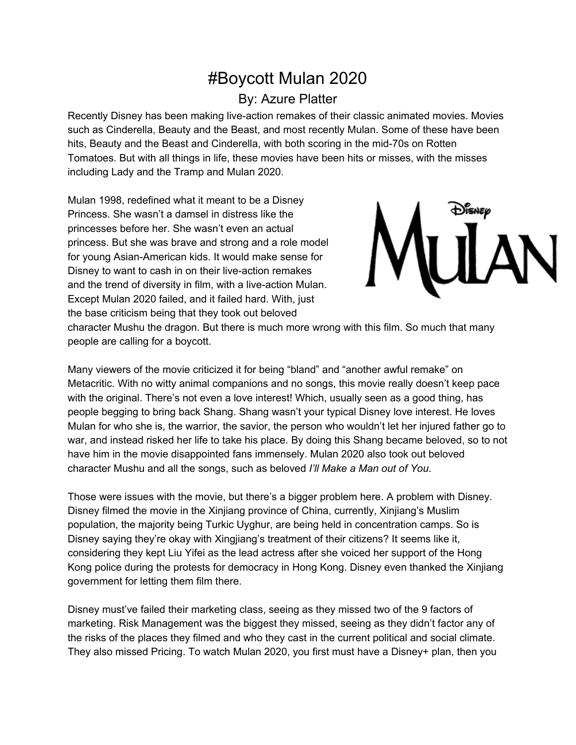## #Boycott Mulan 2020

## By: Azure Platter

Recently Disney has been making live-action remakes of their classic animated movies. Movies such as Cinderella, Beauty and the Beast, and most recently Mulan. Some of these have been hits, Beauty and the Beast and Cinderella, with both scoring in the mid-70s on Rotten Tomatoes. But with all things in life, these movies have been hits or misses, with the misses including Lady and the Tramp and Mulan 2020.

Mulan 1998, redefined what it meant to be a Disney Princess. She wasn't a damsel in distress like the princesses before her. She wasn't even an actual princess. But she was brave and strong and a role model for young Asian-American kids. It would make sense for Disney to want to cash in on their live-action remakes and the trend of diversity in film, with a live-action Mulan. Except Mulan 2020 failed, and it failed hard. With, just the base criticism being that they took out beloved



character Mushu the dragon. But there is much more wrong with this film. So much that many people are calling for a boycott.

Many viewers of the movie criticized it for being "bland" and "another awful remake" on Metacritic. With no witty animal companions and no songs, this movie really doesn't keep pace with the original. There's not even a love interest! Which, usually seen as a good thing, has people begging to bring back Shang. Shang wasn't your typical Disney love interest. He loves Mulan for who she is, the warrior, the savior, the person who wouldn't let her injured father go to war, and instead risked her life to take his place. By doing this Shang became beloved, so to not have him in the movie disappointed fans immensely. Mulan 2020 also took out beloved character Mushu and all the songs, such as beloved *I'll Make a Man out of You*.

Those were issues with the movie, but there's a bigger problem here. A problem with Disney. Disney filmed the movie in the Xinjiang province of China, currently, Xinjiang's Muslim population, the majority being Turkic Uyghur, are being held in concentration camps. So is Disney saying they're okay with Xingjiang's treatment of their citizens? It seems like it, considering they kept Liu Yifei as the lead actress after she voiced her support of the Hong Kong police during the protests for democracy in Hong Kong. Disney even thanked the Xinjiang government for letting them film there.

Disney must've failed their marketing class, seeing as they missed two of the 9 factors of marketing. Risk Management was the biggest they missed, seeing as they didn't factor any of the risks of the places they filmed and who they cast in the current political and social climate. They also missed Pricing. To watch Mulan 2020, you first must have a Disney+ plan, then you